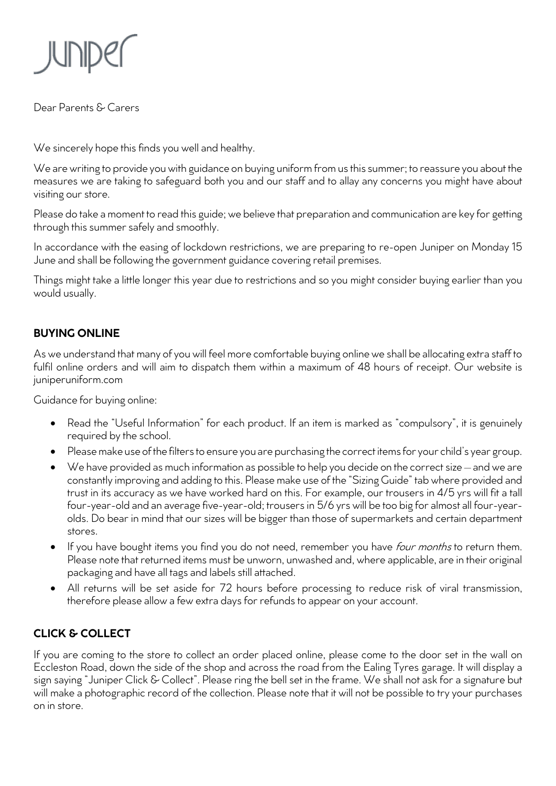

Dear Parents & Carers

We sincerely hope this finds you well and healthy.

We are writing to provide you with guidance on buying uniform from us this summer; to reassure you about the measures we are taking to safeguard both you and our staff and to allay any concerns you might have about visiting our store.

Please do take a moment to read this guide; we believe that preparation and communication are key for getting through this summer safely and smoothly.

In accordance with the easing of lockdown restrictions, we are preparing to re-open Juniper on Monday 15 June and shall be following the government guidance covering retail premises.

Things might take a little longer this year due to restrictions and so you might consider buying earlier than you would usually.

## **BUYING ONLINE**

As we understand that many of you will feel more comfortable buying online we shall be allocating extra staff to fulfil online orders and will aim to dispatch them within a maximum of 48 hours of receipt. Our website is juniperuniform.com

Guidance for buying online:

- Read the "Useful Information" for each product. If an item is marked as "compulsory", it is genuinely required by the school.
- Please make use of the filters to ensure you are purchasing the correct items for your child's year group.
- We have provided as much information as possible to help you decide on the correct size and we are constantly improving and adding to this. Please make use of the "Sizing Guide" tab where provided and trust in its accuracy as we have worked hard on this. For example, our trousers in 4/5 yrs will fit a tall four-year-old and an average five-year-old; trousers in 5/6 yrs will be too big for almost all four-yearolds. Do bear in mind that our sizes will be bigger than those of supermarkets and certain department stores.
- If you have bought items you find you do not need, remember you have *four months* to return them. Please note that returned items must be unworn, unwashed and, where applicable, are in their original packaging and have all tags and labels still attached.
- All returns will be set aside for 72 hours before processing to reduce risk of viral transmission, therefore please allow a few extra days for refunds to appear on your account.

## **CLICK & COLLECT**

If you are coming to the store to collect an order placed online, please come to the door set in the wall on Eccleston Road, down the side of the shop and across the road from the Ealing Tyres garage. It will display a sign saying "Juniper Click & Collect". Please ring the bell set in the frame. We shall not ask for a signature but will make a photographic record of the collection. Please note that it will not be possible to try your purchases on in store.